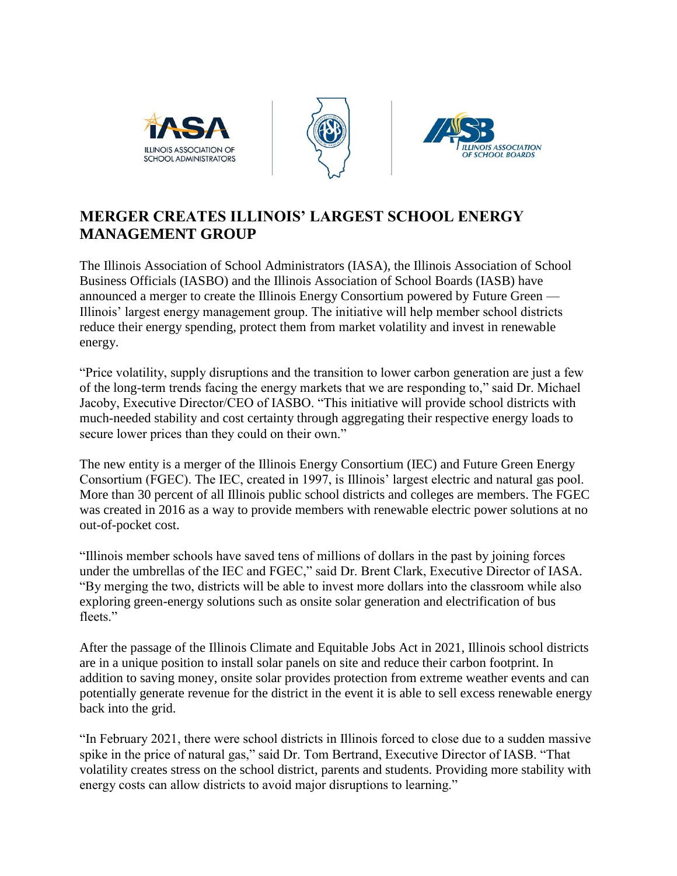





## **MERGER CREATES ILLINOIS' LARGEST SCHOOL ENERGY MANAGEMENT GROUP**

The Illinois Association of School Administrators (IASA), the Illinois Association of School Business Officials (IASBO) and the Illinois Association of School Boards (IASB) have announced a merger to create the Illinois Energy Consortium powered by Future Green — Illinois' largest energy management group. The initiative will help member school districts reduce their energy spending, protect them from market volatility and invest in renewable energy.

"Price volatility, supply disruptions and the transition to lower carbon generation are just a few of the long-term trends facing the energy markets that we are responding to," said Dr. Michael Jacoby, Executive Director/CEO of IASBO. "This initiative will provide school districts with much-needed stability and cost certainty through aggregating their respective energy loads to secure lower prices than they could on their own."

The new entity is a merger of the Illinois Energy Consortium (IEC) and Future Green Energy Consortium (FGEC). The IEC, created in 1997, is Illinois' largest electric and natural gas pool. More than 30 percent of all Illinois public school districts and colleges are members. The FGEC was created in 2016 as a way to provide members with renewable electric power solutions at no out-of-pocket cost.

"Illinois member schools have saved tens of millions of dollars in the past by joining forces under the umbrellas of the IEC and FGEC," said Dr. Brent Clark, Executive Director of IASA. "By merging the two, districts will be able to invest more dollars into the classroom while also exploring green-energy solutions such as onsite solar generation and electrification of bus fleets."

After the passage of the Illinois Climate and Equitable Jobs Act in 2021, Illinois school districts are in a unique position to install solar panels on site and reduce their carbon footprint. In addition to saving money, onsite solar provides protection from extreme weather events and can potentially generate revenue for the district in the event it is able to sell excess renewable energy back into the grid.

"In February 2021, there were school districts in Illinois forced to close due to a sudden massive spike in the price of natural gas," said Dr. Tom Bertrand, Executive Director of IASB. "That volatility creates stress on the school district, parents and students. Providing more stability with energy costs can allow districts to avoid major disruptions to learning."